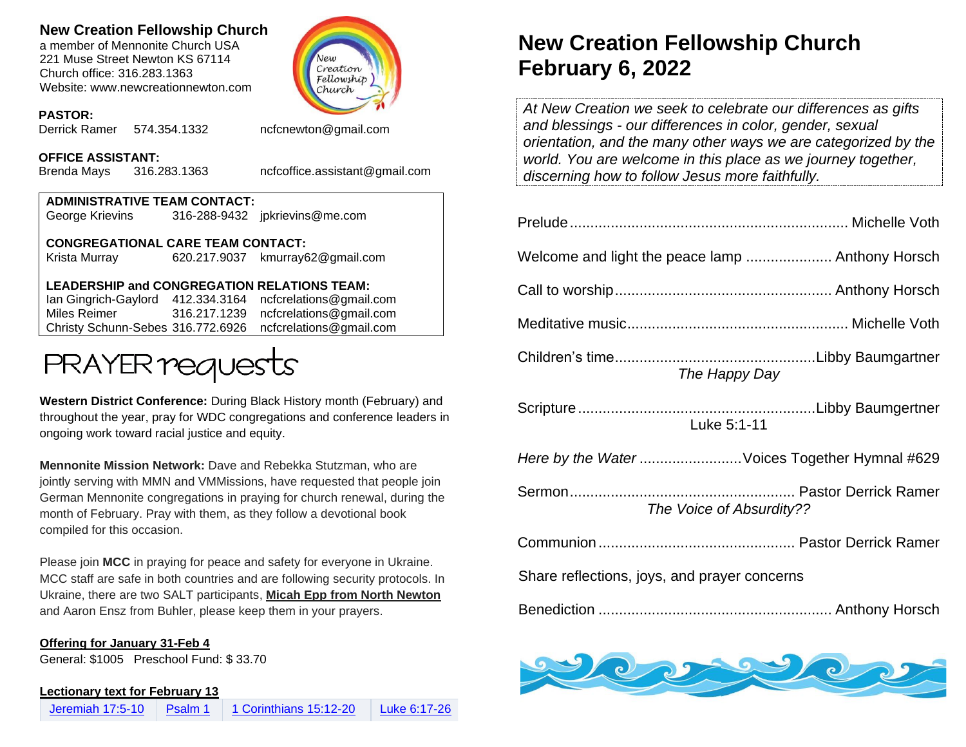# **New Creation Fellowship Church**

a member of Mennonite Church USA 221 Muse Street Newton KS 67114 Church office: 316.283.1363 Website: www.newcreationnewton.com



## **PASTOR:**

Derrick Ramer 574.354.1332 [ncfcnewton@gmail.com](mailto:ncfcnewton@gmail.com)

### **OFFICE ASSISTANT:**

Brenda Mays 316.283.1363 ncfcoffice.assistant@gmail.com

| <b>ADMINISTRATIVE TEAM CONTACT:</b> |  |                                |  |
|-------------------------------------|--|--------------------------------|--|
| George Krievins                     |  | 316-288-9432 jpkrievins@me.com |  |
| CONGREGATIONAL CARE TEAM CONTACT:   |  |                                |  |

Krista Murray 620.217.9037 [kmurray62@gmail.com](mailto:kmurray62@gmail.com)

# **LEADERSHIP and CONGREGATION RELATIONS TEAM:**

Ian Gingrich-Gaylord 412.334.3164 [ncfcrelations@gmail.com](mailto:ncfcrelations@gmail.com) Miles Reimer [316.217.1239](mailto:316.217.1239) [ncfcrelations@gmail.com](mailto:ncfcrelations@gmail.com) Christy Schunn-Sebes 316.772.6926 ncfcrelations@gmail.com



**Western District Conference:** During Black History month (February) and throughout the year, pray for WDC congregations and conference leaders in ongoing work toward racial justice and equity.

**Mennonite Mission Network:** Dave and Rebekka Stutzman, who are jointly serving with MMN and VMMissions, have requested that people join German Mennonite congregations in praying for church renewal, during the month of February. Pray with them, as they follow a devotional book compiled for this occasion.

Please join **MCC** in praying for peace and safety for everyone in Ukraine. MCC staff are safe in both countries and are following security protocols. In Ukraine, there are two SALT participants, **Micah Epp from North Newton** and Aaron Ensz from Buhler, please keep them in your prayers.

#### **Offering for January 31-Feb 4**

General: \$1005 Preschool Fund: \$ 33.70

#### **Lectionary text for February 13**

# **New Creation Fellowship Church February 6, 2022**

*At New Creation we seek to celebrate our differences as gifts and blessings - our differences in color, gender, sexual orientation, and the many other ways we are categorized by the world. You are welcome in this place as we journey together, discerning how to follow Jesus more faithfully.*

| The Happy Day                                 |  |  |
|-----------------------------------------------|--|--|
| Luke 5:1-11                                   |  |  |
| Here by the Water Voices Together Hymnal #629 |  |  |
| The Voice of Absurdity??                      |  |  |
|                                               |  |  |
| Share reflections, joys, and prayer concerns  |  |  |
|                                               |  |  |